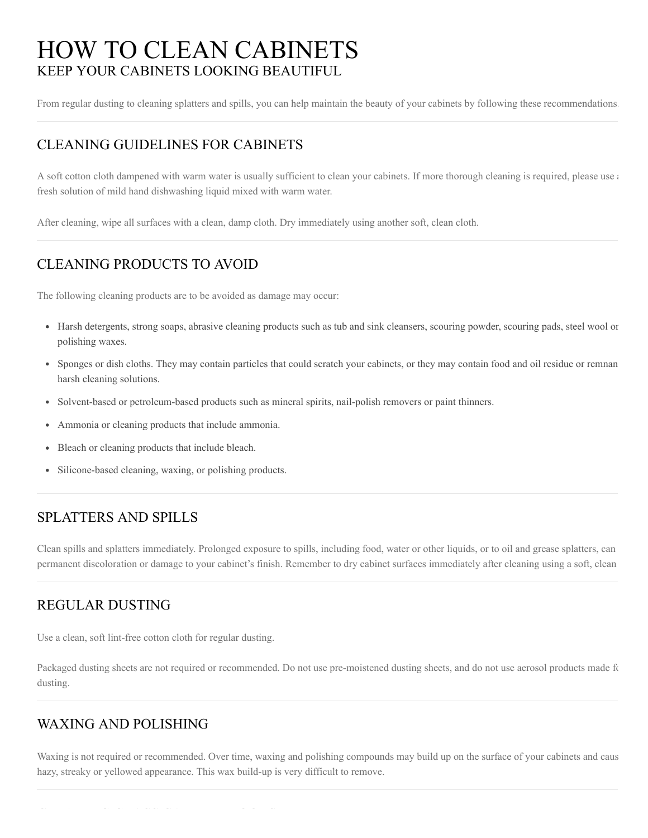# KEEP YOUR CABINETS LOOKING BEAUTIFUL HOW TO CLEAN CABINETS

From regular dusting to cleaning splatters and spills, you can help maintain the beauty of your cabinets by following these recommendations.

# CLEANING GUIDELINES FOR CABINETS

A soft cotton cloth dampened with warm water is usually sufficient to clean your cabinets. If more thorough cleaning is required, please use a fresh solution of mild hand dishwashing liquid mixed with warm water.

After cleaning, wipe all surfaces with a clean, damp cloth. Dry immediately using another soft, clean cloth.

# CLEANING PRODUCTS TO AVOID

The following cleaning products are to be avoided as damage may occur:

- Harsh detergents, strong soaps, abrasive cleaning products such as tub and sink cleansers, scouring powder, scouring pads, steel wool or polishing waxes.
- Sponges or dish cloths. They may contain particles that could scratch your cabinets, or they may contain food and oil residue or remnan harsh cleaning solutions.
- Solvent-based or petroleum-based products such as mineral spirits, nail-polish removers or paint thinners.
- Ammonia or cleaning products that include ammonia.
- Bleach or cleaning products that include bleach.
- Silicone-based cleaning, waxing, or polishing products.  $\bullet$

## SPLATTERS AND SPILLS

Clean spills and splatters immediately. Prolonged exposure to spills, including food, water or other liquids, or to oil and grease splatters, can permanent discoloration or damage to your cabinet's finish. Remember to dry cabinet surfaces immediately after cleaning using a soft, clean

#### REGULAR DUSTING

Use a clean, soft lint-free cotton cloth for regular dusting.

Packaged dusting sheets are not required or recommended. Do not use pre-moistened dusting sheets, and do not use aerosol products made fo dusting.

#### WAXING AND POLISHING

Waxing is not required or recommended. Over time, waxing and polishing compounds may build up on the surface of your cabinets and caus hazy, streaky or yellowed appearance. This wax build-up is very difficult to remove.